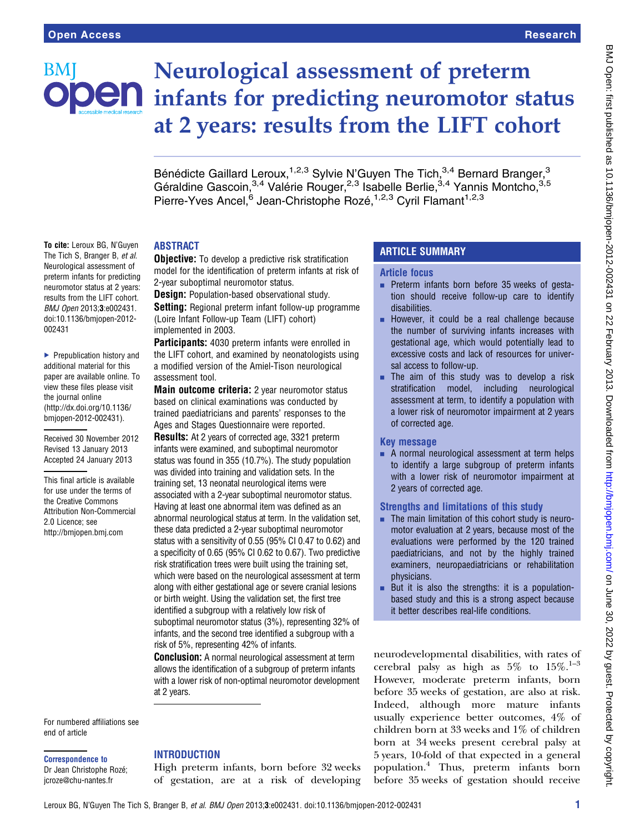

To cite: Leroux BG, N'Guyen The Tich S. Branger B. et al. Neurological assessment of preterm infants for predicting neuromotor status at 2 years: results from the LIFT cohort. BMJ Open 2013;3:e002431. doi:10.1136/bmjopen-2012-

▶ Prepublication history and additional material for this paper are available online. To view these files please visit the journal online [\(http://dx.doi.org/10.1136/](http://dx.doi.org/10.1136/bmjopen-2012-002431) [bmjopen-2012-002431](http://dx.doi.org/10.1136/bmjopen-2012-002431)).

Received 30 November 2012 Revised 13 January 2013 Accepted 24 January 2013 This final article is available for use under the terms of the Creative Commons Attribution Non-Commercial

2.0 Licence; see <http://bmjopen.bmj.com>

002431

# Neurological assessment of preterm **OEN** infants for predicting neuromotor status at 2 years: results from the LIFT cohort

Bénédicte Gaillard Leroux,<sup>1,2,3</sup> Sylvie N'Guyen The Tich,<sup>3,4</sup> Bernard Branger,<sup>3</sup> Géraldine Gascoin,<sup>3,4</sup> Valérie Rouger,<sup>2,3</sup> Isabelle Berlie,<sup>3,4</sup> Yannis Montcho,<sup>3,5</sup> Pierre-Yves Ancel,<sup>6</sup> Jean-Christophe Rozé,<sup>1,2,3</sup> Cyril Flamant<sup>1,2,3</sup>

## ABSTRACT

**Objective:** To develop a predictive risk stratification model for the identification of preterm infants at risk of 2-year suboptimal neuromotor status.

**Design:** Population-based observational study. **Setting:** Regional preterm infant follow-up programme (Loire Infant Follow-up Team (LIFT) cohort) implemented in 2003.

Participants: 4030 preterm infants were enrolled in the LIFT cohort, and examined by neonatologists using a modified version of the Amiel-Tison neurological assessment tool.

Main outcome criteria: 2 year neuromotor status based on clinical examinations was conducted by trained paediatricians and parents' responses to the Ages and Stages Questionnaire were reported.

Results: At 2 years of corrected age, 3321 preterm infants were examined, and suboptimal neuromotor status was found in 355 (10.7%). The study population was divided into training and validation sets. In the training set, 13 neonatal neurological items were associated with a 2-year suboptimal neuromotor status. Having at least one abnormal item was defined as an abnormal neurological status at term. In the validation set, these data predicted a 2-year suboptimal neuromotor status with a sensitivity of 0.55 (95% CI 0.47 to 0.62) and a specificity of 0.65 (95% CI 0.62 to 0.67). Two predictive risk stratification trees were built using the training set, which were based on the neurological assessment at term along with either gestational age or severe cranial lesions or birth weight. Using the validation set, the first tree identified a subgroup with a relatively low risk of suboptimal neuromotor status (3%), representing 32% of infants, and the second tree identified a subgroup with a risk of 5%, representing 42% of infants.

**Conclusion:** A normal neurological assessment at term allows the identification of a subgroup of preterm infants with a lower risk of non-optimal neuromotor development at 2 years.

For numbered affiliations see end of article

#### Correspondence to

Dr Jean Christophe Rozé; jcroze@chu-nantes.fr

## **INTRODUCTION**

High preterm infants, born before 32 weeks of gestation, are at a risk of developing

# ARTICLE SUMMARY

#### Article focus

- **Preterm infants born before 35 weeks of gesta**tion should receive follow-up care to identify disabilities.
- **EXECUTE:** However, it could be a real challenge because the number of surviving infants increases with gestational age, which would potentially lead to excessive costs and lack of resources for universal access to follow-up.
- $\blacksquare$  The aim of this study was to develop a risk stratification model, including neurological assessment at term, to identify a population with a lower risk of neuromotor impairment at 2 years of corrected age.

## Key message

 $\blacksquare$  A normal neurological assessment at term helps to identify a large subgroup of preterm infants with a lower risk of neuromotor impairment at 2 years of corrected age.

## Strengths and limitations of this study

- $\blacksquare$  The main limitation of this cohort study is neuromotor evaluation at 2 years, because most of the evaluations were performed by the 120 trained paediatricians, and not by the highly trained examiners, neuropaediatricians or rehabilitation physicians.
- $\blacksquare$  But it is also the strengths: it is a populationbased study and this is a strong aspect because it better describes real-life conditions.

neurodevelopmental disabilities, with rates of cerebral palsy as high as  $5\%$  to  $15\%$ .<sup>1-3</sup> However, moderate preterm infants, born before 35 weeks of gestation, are also at risk. Indeed, although more mature infants usually experience better outcomes, 4% of children born at 33 weeks and 1% of children born at 34 weeks present cerebral palsy at 5 years, 10-fold of that expected in a general population.<sup>4</sup> Thus, preterm infants born before 35 weeks of gestation should receive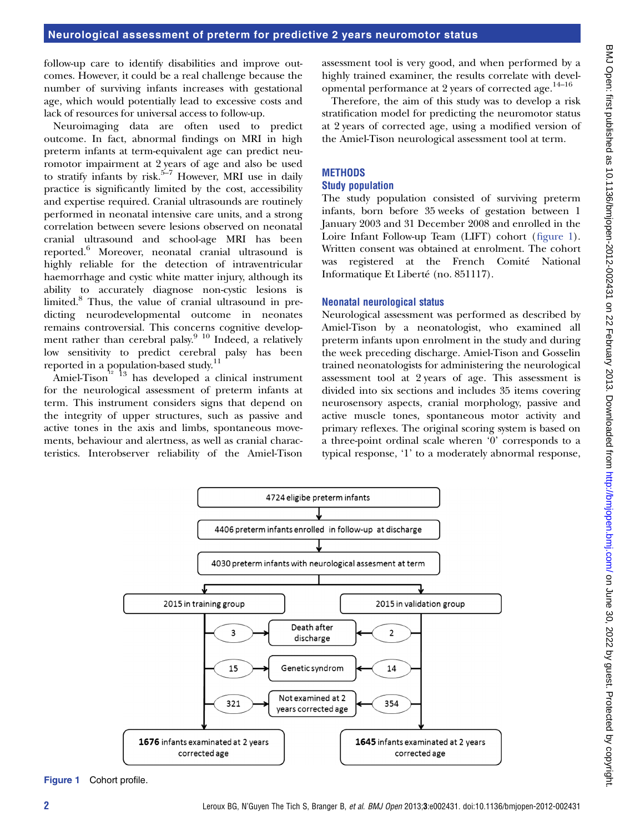follow-up care to identify disabilities and improve outcomes. However, it could be a real challenge because the number of surviving infants increases with gestational age, which would potentially lead to excessive costs and lack of resources for universal access to follow-up.

Neuroimaging data are often used to predict outcome. In fact, abnormal findings on MRI in high preterm infants at term-equivalent age can predict neuromotor impairment at 2 years of age and also be used to stratify infants by risk.<sup>5–7</sup> However, MRI use in daily practice is significantly limited by the cost, accessibility and expertise required. Cranial ultrasounds are routinely performed in neonatal intensive care units, and a strong correlation between severe lesions observed on neonatal cranial ultrasound and school-age MRI has been reported.<sup>6</sup> Moreover, neonatal cranial ultrasound is highly reliable for the detection of intraventricular haemorrhage and cystic white matter injury, although its ability to accurately diagnose non-cystic lesions is limited.<sup>8</sup> Thus, the value of cranial ultrasound in predicting neurodevelopmental outcome in neonates remains controversial. This concerns cognitive development rather than cerebral palsy.<sup>9 10</sup> Indeed, a relatively low sensitivity to predict cerebral palsy has been reported in a population-based study.<sup>11</sup>

Amiel-Tison<sup>12</sup> <sup>13</sup> has developed a clinical instrument for the neurological assessment of preterm infants at term. This instrument considers signs that depend on the integrity of upper structures, such as passive and active tones in the axis and limbs, spontaneous movements, behaviour and alertness, as well as cranial characteristics. Interobserver reliability of the Amiel-Tison assessment tool is very good, and when performed by a highly trained examiner, the results correlate with developmental performance at 2 years of corrected age.<sup>14-16</sup>

Therefore, the aim of this study was to develop a risk stratification model for predicting the neuromotor status at 2 years of corrected age, using a modified version of the Amiel-Tison neurological assessment tool at term.

# **METHODS**

## Study population

The study population consisted of surviving preterm infants, born before 35 weeks of gestation between 1 January 2003 and 31 December 2008 and enrolled in the Loire Infant Follow-up Team (LIFT) cohort (figure 1). Written consent was obtained at enrolment. The cohort was registered at the French Comité National Informatique Et Liberté (no. 851117).

## Neonatal neurological status

Neurological assessment was performed as described by Amiel-Tison by a neonatologist, who examined all preterm infants upon enrolment in the study and during the week preceding discharge. Amiel-Tison and Gosselin trained neonatologists for administering the neurological assessment tool at 2 years of age. This assessment is divided into six sections and includes 35 items covering neurosensory aspects, cranial morphology, passive and active muscle tones, spontaneous motor activity and primary reflexes. The original scoring system is based on a three-point ordinal scale wheren '0' corresponds to a typical response, '1' to a moderately abnormal response,



Figure 1 Cohort profile.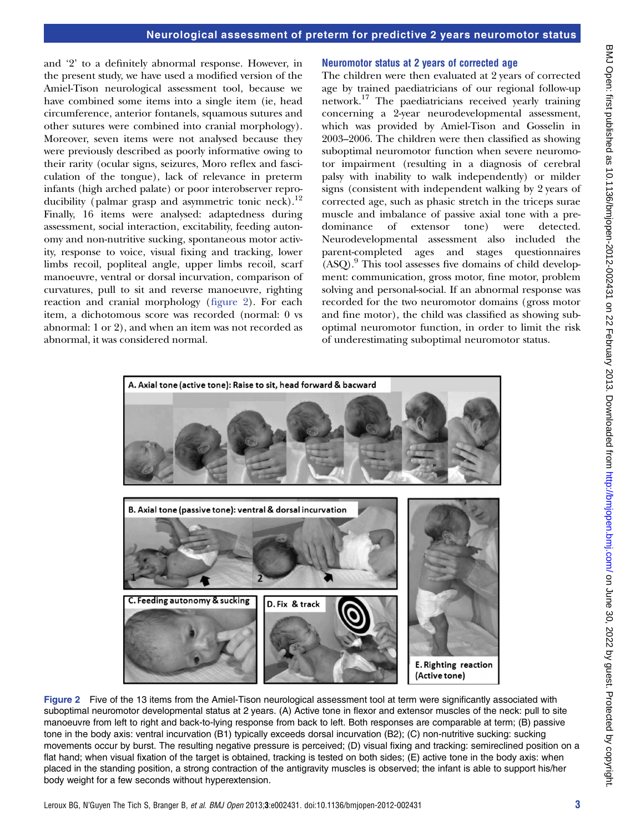and '2' to a definitely abnormal response. However, in the present study, we have used a modified version of the Amiel-Tison neurological assessment tool, because we have combined some items into a single item (ie, head circumference, anterior fontanels, squamous sutures and other sutures were combined into cranial morphology). Moreover, seven items were not analysed because they were previously described as poorly informative owing to their rarity (ocular signs, seizures, Moro reflex and fasciculation of the tongue), lack of relevance in preterm infants (high arched palate) or poor interobserver reproducibility (palmar grasp and asymmetric tonic neck).<sup>12</sup> Finally, 16 items were analysed: adaptedness during assessment, social interaction, excitability, feeding autonomy and non-nutritive sucking, spontaneous motor activity, response to voice, visual fixing and tracking, lower limbs recoil, popliteal angle, upper limbs recoil, scarf manoeuvre, ventral or dorsal incurvation, comparison of curvatures, pull to sit and reverse manoeuvre, righting reaction and cranial morphology (figure 2). For each item, a dichotomous score was recorded (normal: 0 vs abnormal: 1 or 2), and when an item was not recorded as abnormal, it was considered normal.

#### Neuromotor status at 2 years of corrected age

The children were then evaluated at 2 years of corrected age by trained paediatricians of our regional follow-up network.<sup>17</sup> The paediatricians received yearly training concerning a 2-year neurodevelopmental assessment, which was provided by Amiel-Tison and Gosselin in 2003–2006. The children were then classified as showing suboptimal neuromotor function when severe neuromotor impairment (resulting in a diagnosis of cerebral palsy with inability to walk independently) or milder signs (consistent with independent walking by 2 years of corrected age, such as phasic stretch in the triceps surae muscle and imbalance of passive axial tone with a predominance of extensor tone) were detected. Neurodevelopmental assessment also included the parent-completed ages and stages questionnaires  $(ASQ).<sup>9</sup>$  This tool assesses five domains of child development: communication, gross motor, fine motor, problem solving and personal-social. If an abnormal response was recorded for the two neuromotor domains (gross motor and fine motor), the child was classified as showing suboptimal neuromotor function, in order to limit the risk of underestimating suboptimal neuromotor status.



Figure 2 Five of the 13 items from the Amiel-Tison neurological assessment tool at term were significantly associated with suboptimal neuromotor developmental status at 2 years. (A) Active tone in flexor and extensor muscles of the neck: pull to site manoeuvre from left to right and back-to-lying response from back to left. Both responses are comparable at term; (B) passive tone in the body axis: ventral incurvation (B1) typically exceeds dorsal incurvation (B2); (C) non-nutritive sucking: sucking movements occur by burst. The resulting negative pressure is perceived; (D) visual fixing and tracking: semireclined position on a flat hand; when visual fixation of the target is obtained, tracking is tested on both sides; (E) active tone in the body axis: when placed in the standing position, a strong contraction of the antigravity muscles is observed; the infant is able to support his/her body weight for a few seconds without hyperextension.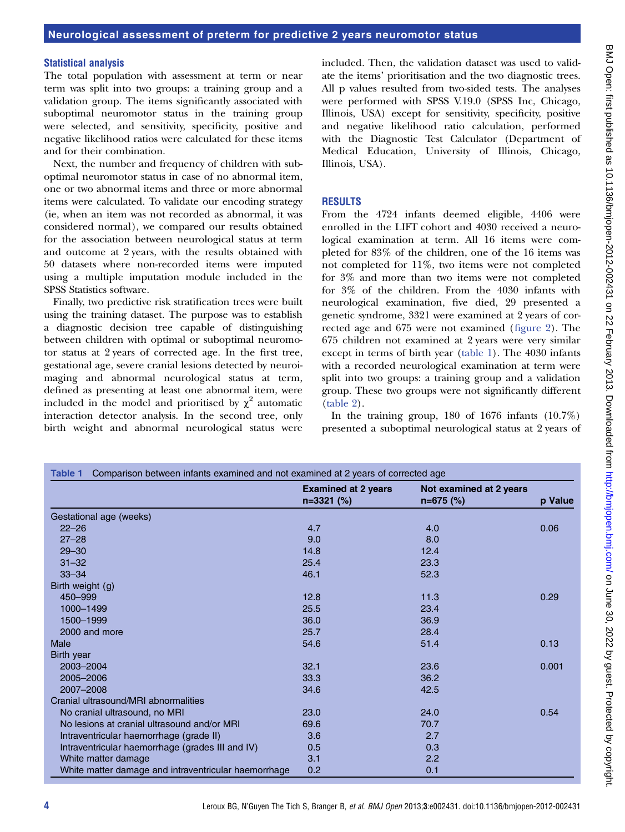#### Statistical analysis

The total population with assessment at term or near term was split into two groups: a training group and a validation group. The items significantly associated with suboptimal neuromotor status in the training group were selected, and sensitivity, specificity, positive and negative likelihood ratios were calculated for these items and for their combination.

Next, the number and frequency of children with suboptimal neuromotor status in case of no abnormal item, one or two abnormal items and three or more abnormal items were calculated. To validate our encoding strategy (ie, when an item was not recorded as abnormal, it was considered normal), we compared our results obtained for the association between neurological status at term and outcome at 2 years, with the results obtained with 50 datasets where non-recorded items were imputed using a multiple imputation module included in the SPSS Statistics software.

Finally, two predictive risk stratification trees were built using the training dataset. The purpose was to establish a diagnostic decision tree capable of distinguishing between children with optimal or suboptimal neuromotor status at 2 years of corrected age. In the first tree, gestational age, severe cranial lesions detected by neuroimaging and abnormal neurological status at term, defined as presenting at least one abnormal item, were included in the model and prioritised by  $\chi^2$  automatic interaction detector analysis. In the second tree, only birth weight and abnormal neurological status were

included. Then, the validation dataset was used to validate the items' prioritisation and the two diagnostic trees. All p values resulted from two-sided tests. The analyses were performed with SPSS V.19.0 (SPSS Inc, Chicago, Illinois, USA) except for sensitivity, specificity, positive and negative likelihood ratio calculation, performed with the Diagnostic Test Calculator (Department of Medical Education, University of Illinois, Chicago, Illinois, USA).

#### RESULTS

From the 4724 infants deemed eligible, 4406 were enrolled in the LIFT cohort and 4030 received a neurological examination at term. All 16 items were completed for 83% of the children, one of the 16 items was not completed for 11%, two items were not completed for 3% and more than two items were not completed for 3% of the children. From the 4030 infants with neurological examination, five died, 29 presented a genetic syndrome, 3321 were examined at 2 years of corrected age and 675 were not examined (figure 2). The 675 children not examined at 2 years were very similar except in terms of birth year (table 1). The 4030 infants with a recorded neurological examination at term were split into two groups: a training group and a validation group. These two groups were not significantly different (table 2).

In the training group,  $180$  of  $1676$  infants  $(10.7\%)$ presented a suboptimal neurological status at 2 years of

| Comparison between infants examined and not examined at 2 years of corrected age<br>Table 1 |                                            |                                        |         |  |  |
|---------------------------------------------------------------------------------------------|--------------------------------------------|----------------------------------------|---------|--|--|
|                                                                                             | <b>Examined at 2 years</b><br>$n=3321$ (%) | Not examined at 2 years<br>$n=675$ (%) | p Value |  |  |
| Gestational age (weeks)                                                                     |                                            |                                        |         |  |  |
| $22 - 26$                                                                                   | 4.7                                        | 4.0                                    | 0.06    |  |  |
| $27 - 28$                                                                                   | 9.0                                        | 8.0                                    |         |  |  |
| $29 - 30$                                                                                   | 14.8                                       | 12.4                                   |         |  |  |
| $31 - 32$                                                                                   | 25.4                                       | 23.3                                   |         |  |  |
| $33 - 34$                                                                                   | 46.1                                       | 52.3                                   |         |  |  |
| Birth weight (g)                                                                            |                                            |                                        |         |  |  |
| 450-999                                                                                     | 12.8                                       | 11.3                                   | 0.29    |  |  |
| 1000-1499                                                                                   | 25.5                                       | 23.4                                   |         |  |  |
| 1500-1999                                                                                   | 36.0                                       | 36.9                                   |         |  |  |
| 2000 and more                                                                               | 25.7                                       | 28.4                                   |         |  |  |
| Male                                                                                        | 54.6                                       | 51.4                                   | 0.13    |  |  |
| Birth year                                                                                  |                                            |                                        |         |  |  |
| 2003-2004                                                                                   | 32.1                                       | 23.6                                   | 0.001   |  |  |
| 2005-2006                                                                                   | 33.3                                       | 36.2                                   |         |  |  |
| 2007-2008                                                                                   | 34.6                                       | 42.5                                   |         |  |  |
| Cranial ultrasound/MRI abnormalities                                                        |                                            |                                        |         |  |  |
| No cranial ultrasound, no MRI                                                               | 23.0                                       | 24.0                                   | 0.54    |  |  |
| No lesions at cranial ultrasound and/or MRI                                                 | 69.6                                       | 70.7                                   |         |  |  |
| Intraventricular haemorrhage (grade II)                                                     | 3.6                                        | 2.7                                    |         |  |  |
| Intraventricular haemorrhage (grades III and IV)                                            | 0.5                                        | 0.3                                    |         |  |  |
| White matter damage                                                                         | 3.1                                        | 2.2                                    |         |  |  |
| White matter damage and intraventricular haemorrhage                                        | 0.2                                        | 0.1                                    |         |  |  |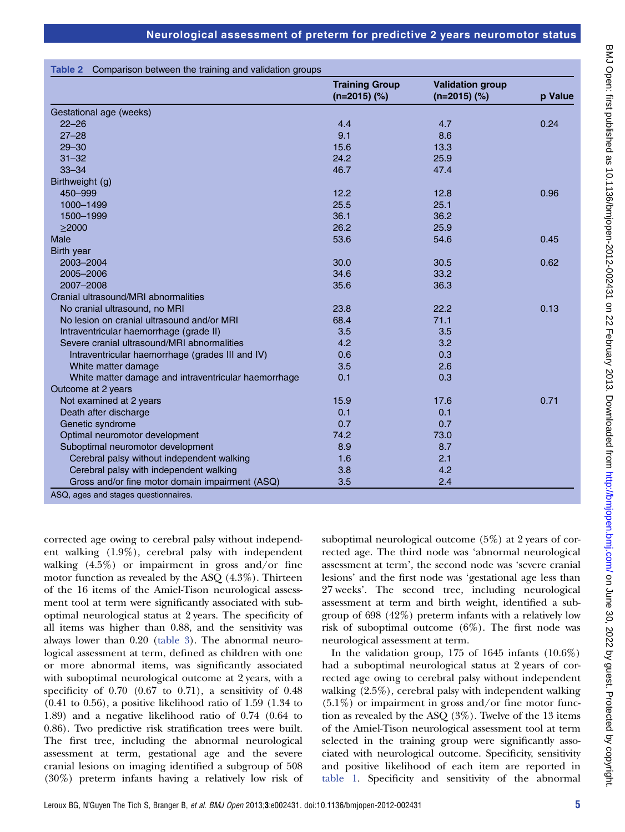|                                                      | <b>Training Group</b><br>$(n=2015)$ (%) | <b>Validation group</b><br>$(n=2015)$ (%) | p Value |
|------------------------------------------------------|-----------------------------------------|-------------------------------------------|---------|
| Gestational age (weeks)                              |                                         |                                           |         |
| $22 - 26$                                            | 4.4                                     | 4.7                                       | 0.24    |
| $27 - 28$                                            | 9.1                                     | 8.6                                       |         |
| $29 - 30$                                            | 15.6                                    | 13.3                                      |         |
| $31 - 32$                                            | 24.2                                    | 25.9                                      |         |
| $33 - 34$                                            | 46.7                                    | 47.4                                      |         |
| Birthweight (g)                                      |                                         |                                           |         |
| 450-999                                              | 12.2                                    | 12.8                                      | 0.96    |
| 1000-1499                                            | 25.5                                    | 25.1                                      |         |
| 1500-1999                                            | 36.1                                    | 36.2                                      |         |
| $\geq$ 2000                                          | 26.2                                    | 25.9                                      |         |
| Male                                                 | 53.6                                    | 54.6                                      | 0.45    |
| Birth year                                           |                                         |                                           |         |
| 2003-2004                                            | 30.0                                    | 30.5                                      | 0.62    |
| 2005-2006                                            | 34.6                                    | 33.2                                      |         |
| 2007-2008                                            | 35.6                                    | 36.3                                      |         |
| Cranial ultrasound/MRI abnormalities                 |                                         |                                           |         |
| No cranial ultrasound, no MRI                        | 23.8                                    | 22.2                                      | 0.13    |
| No lesion on cranial ultrasound and/or MRI           | 68.4                                    | 71.1                                      |         |
| Intraventricular haemorrhage (grade II)              | 3.5                                     | 3.5                                       |         |
| Severe cranial ultrasound/MRI abnormalities          | 4.2                                     | 3.2                                       |         |
| Intraventricular haemorrhage (grades III and IV)     | 0.6                                     | 0.3                                       |         |
| White matter damage                                  | 3.5                                     | 2.6                                       |         |
| White matter damage and intraventricular haemorrhage | 0.1                                     | 0.3                                       |         |
| Outcome at 2 years                                   |                                         |                                           |         |
| Not examined at 2 years                              | 15.9                                    | 17.6                                      | 0.71    |
| Death after discharge                                | 0.1                                     | 0.1                                       |         |
| Genetic syndrome                                     | 0.7                                     | 0.7                                       |         |
| Optimal neuromotor development                       | 74.2                                    | 73.0                                      |         |
| Suboptimal neuromotor development                    | 8.9                                     | 8.7                                       |         |
| Cerebral palsy without independent walking           | 1.6                                     | 2.1                                       |         |
| Cerebral palsy with independent walking              | 3.8                                     | 4.2                                       |         |
| Gross and/or fine motor domain impairment (ASQ)      | 3.5                                     | 2.4                                       |         |

corrected age owing to cerebral palsy without independent walking (1.9%), cerebral palsy with independent walking (4.5%) or impairment in gross and/or fine motor function as revealed by the ASQ (4.3%). Thirteen of the 16 items of the Amiel-Tison neurological assessment tool at term were significantly associated with suboptimal neurological status at 2 years. The specificity of all items was higher than 0.88, and the sensitivity was always lower than 0.20 (table 3). The abnormal neurological assessment at term, defined as children with one or more abnormal items, was significantly associated with suboptimal neurological outcome at 2 years, with a specificity of  $0.70$   $(0.67$  to  $0.71)$ , a sensitivity of  $0.48$  $(0.41 \text{ to } 0.56)$ , a positive likelihood ratio of 1.59  $(1.34 \text{ to } 0.56)$ 1.89) and a negative likelihood ratio of 0.74 (0.64 to 0.86). Two predictive risk stratification trees were built. The first tree, including the abnormal neurological assessment at term, gestational age and the severe cranial lesions on imaging identified a subgroup of 508 (30%) preterm infants having a relatively low risk of suboptimal neurological outcome (5%) at 2 years of corrected age. The third node was 'abnormal neurological assessment at term', the second node was 'severe cranial lesions' and the first node was 'gestational age less than 27 weeks'. The second tree, including neurological assessment at term and birth weight, identified a subgroup of 698 (42%) preterm infants with a relatively low risk of suboptimal outcome (6%). The first node was neurological assessment at term.

In the validation group,  $175$  of  $1645$  infants  $(10.6\%)$ had a suboptimal neurological status at 2 years of corrected age owing to cerebral palsy without independent walking (2.5%), cerebral palsy with independent walking  $(5.1\%)$  or impairment in gross and/or fine motor function as revealed by the ASQ (3%). Twelve of the 13 items of the Amiel-Tison neurological assessment tool at term selected in the training group were significantly associated with neurological outcome. Specificity, sensitivity and positive likelihood of each item are reported in table 1. Specificity and sensitivity of the abnormal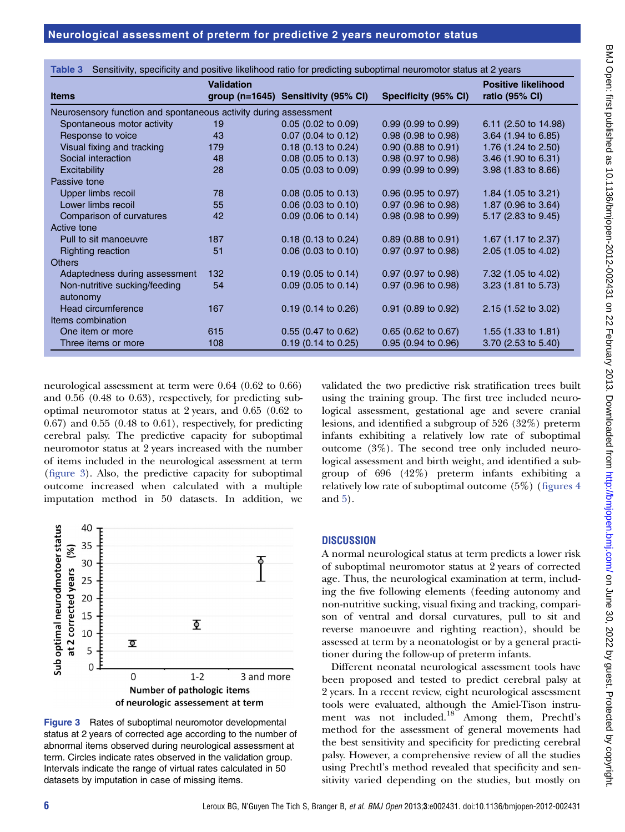| Sensitivity, specificity and positive likelihood ratio for predicting suboptimal neuromotor status at 2 years<br>Table 3 |                   |                                     |                               |                                              |  |  |  |
|--------------------------------------------------------------------------------------------------------------------------|-------------------|-------------------------------------|-------------------------------|----------------------------------------------|--|--|--|
| <b>Items</b>                                                                                                             | <b>Validation</b> | group (n=1645) Sensitivity (95% CI) | Specificity (95% CI)          | <b>Positive likelihood</b><br>ratio (95% CI) |  |  |  |
| Neurosensory function and spontaneous activity during assessment                                                         |                   |                                     |                               |                                              |  |  |  |
| Spontaneous motor activity                                                                                               | 19                | $0.05$ (0.02 to 0.09)               | $0.99(0.99)$ to $0.99$ )      | 6.11 (2.50 to 14.98)                         |  |  |  |
| Response to voice                                                                                                        | 43                | $0.07$ (0.04 to 0.12)               | 0.98 (0.98 to 0.98)           | 3.64 (1.94 to 6.85)                          |  |  |  |
| Visual fixing and tracking                                                                                               | 179               | $0.18$ (0.13 to 0.24)               | $0.90(0.88 \text{ to } 0.91)$ | 1.76 (1.24 to 2.50)                          |  |  |  |
| Social interaction                                                                                                       | 48                | $0.08$ (0.05 to 0.13)               | 0.98 (0.97 to 0.98)           | 3.46 (1.90 to 6.31)                          |  |  |  |
| Excitability                                                                                                             | 28                | $0.05$ (0.03 to 0.09)               | $0.99(0.99)$ to $0.99$ )      | 3.98 (1.83 to 8.66)                          |  |  |  |
| Passive tone                                                                                                             |                   |                                     |                               |                                              |  |  |  |
| Upper limbs recoil                                                                                                       | 78                | $0.08$ (0.05 to 0.13)               | $0.96$ (0.95 to 0.97)         | 1.84 $(1.05 \text{ to } 3.21)$               |  |  |  |
| Lower limbs recoil                                                                                                       | 55                | $0.06$ $(0.03$ to $0.10)$           | $0.97$ (0.96 to 0.98)         | 1.87 (0.96 to 3.64)                          |  |  |  |
| Comparison of curvatures                                                                                                 | 42                | $0.09$ (0.06 to 0.14)               | 0.98 (0.98 to 0.99)           | 5.17 (2.83 to 9.45)                          |  |  |  |
| Active tone                                                                                                              |                   |                                     |                               |                                              |  |  |  |
| Pull to sit manoeuvre                                                                                                    | 187               | $0.18$ (0.13 to 0.24)               | $0.89$ (0.88 to 0.91)         | 1.67 (1.17 to 2.37)                          |  |  |  |
| <b>Righting reaction</b>                                                                                                 | 51                | $0.06$ (0.03 to 0.10)               | $0.97$ (0.97 to 0.98)         | 2.05 (1.05 to 4.02)                          |  |  |  |
| <b>Others</b>                                                                                                            |                   |                                     |                               |                                              |  |  |  |
| Adaptedness during assessment                                                                                            | 132               | $0.19$ (0.05 to 0.14)               | $0.97$ (0.97 to 0.98)         | 7.32 (1.05 to 4.02)                          |  |  |  |
| Non-nutritive sucking/feeding<br>autonomy                                                                                | 54                | $0.09$ (0.05 to 0.14)               | $0.97$ (0.96 to 0.98)         | $3.23$ (1.81 to 5.73)                        |  |  |  |
| Head circumference                                                                                                       | 167               | $0.19$ (0.14 to 0.26)               | $0.91$ (0.89 to 0.92)         | 2.15 (1.52 to 3.02)                          |  |  |  |
| Items combination                                                                                                        |                   |                                     |                               |                                              |  |  |  |
| One item or more                                                                                                         | 615               | $0.55$ (0.47 to 0.62)               | $0.65$ (0.62 to 0.67)         | 1.55 $(1.33 \text{ to } 1.81)$               |  |  |  |
| Three items or more                                                                                                      | 108               | $0.19$ (0.14 to 0.25)               | $0.95$ (0.94 to 0.96)         | 3.70 (2.53 to 5.40)                          |  |  |  |

neurological assessment at term were 0.64 (0.62 to 0.66) and 0.56 (0.48 to 0.63), respectively, for predicting suboptimal neuromotor status at 2 years, and 0.65 (0.62 to  $(0.67)$  and  $(0.55)$   $(0.48$  to  $0.61)$ , respectively, for predicting cerebral palsy. The predictive capacity for suboptimal neuromotor status at 2 years increased with the number of items included in the neurological assessment at term (figure 3). Also, the predictive capacity for suboptimal outcome increased when calculated with a multiple imputation method in 50 datasets. In addition, we



Figure 3 Rates of suboptimal neuromotor developmental status at 2 years of corrected age according to the number of abnormal items observed during neurological assessment at term. Circles indicate rates observed in the validation group. Intervals indicate the range of virtual rates calculated in 50 datasets by imputation in case of missing items.

validated the two predictive risk stratification trees built using the training group. The first tree included neurological assessment, gestational age and severe cranial lesions, and identified a subgroup of 526 (32%) preterm infants exhibiting a relatively low rate of suboptimal outcome (3%). The second tree only included neurological assessment and birth weight, and identified a subgroup of 696 (42%) preterm infants exhibiting a relatively low rate of suboptimal outcome (5%) (figures 4 and 5).

## **DISCUSSION**

A normal neurological status at term predicts a lower risk of suboptimal neuromotor status at 2 years of corrected age. Thus, the neurological examination at term, including the five following elements (feeding autonomy and non-nutritive sucking, visual fixing and tracking, comparison of ventral and dorsal curvatures, pull to sit and reverse manoeuvre and righting reaction), should be assessed at term by a neonatologist or by a general practitioner during the follow-up of preterm infants.

Different neonatal neurological assessment tools have been proposed and tested to predict cerebral palsy at 2 years. In a recent review, eight neurological assessment tools were evaluated, although the Amiel-Tison instrument was not included.<sup>18</sup> Among them, Prechtl's method for the assessment of general movements had the best sensitivity and specificity for predicting cerebral palsy. However, a comprehensive review of all the studies using Prechtl's method revealed that specificity and sensitivity varied depending on the studies, but mostly on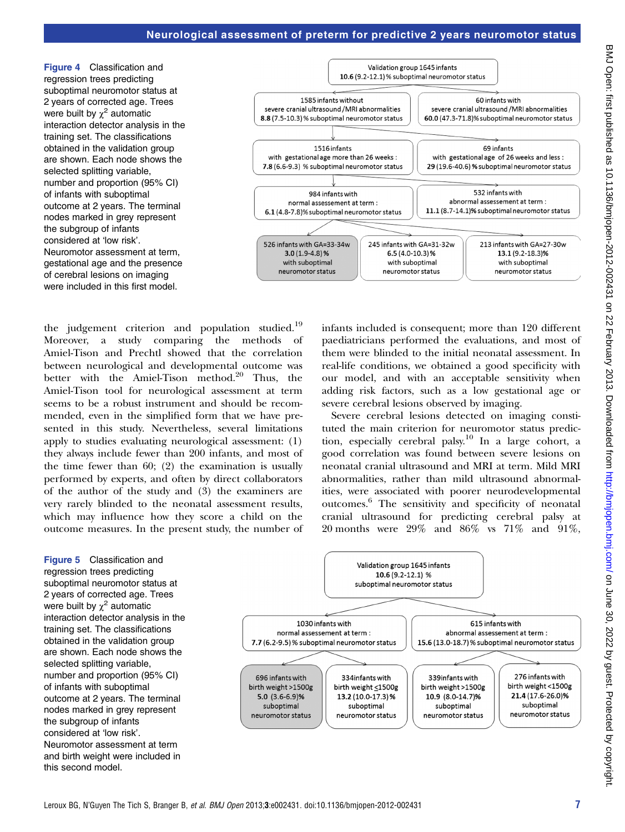Figure 4 Classification and regression trees predicting suboptimal neuromotor status at 2 years of corrected age. Trees were built by  $\chi^2$  automatic interaction detector analysis in the training set. The classifications obtained in the validation group are shown. Each node shows the selected splitting variable, number and proportion (95% CI) of infants with suboptimal outcome at 2 years. The terminal nodes marked in grey represent the subgroup of infants considered at 'low risk'. Neuromotor assessment at term, gestational age and the presence of cerebral lesions on imaging were included in this first model.



the judgement criterion and population studied.<sup>19</sup> Moreover, a study comparing the methods Amiel-Tison and Prechtl showed that the correlation between neurological and developmental outcome was better with the Amiel-Tison method.<sup>20</sup> Thus, the Amiel-Tison tool for neurological assessment at term seems to be a robust instrument and should be recommended, even in the simplified form that we have presented in this study. Nevertheless, several limitations apply to studies evaluating neurological assessment: (1) they always include fewer than 200 infants, and most of the time fewer than 60; (2) the examination is usually performed by experts, and often by direct collaborators of the author of the study and (3) the examiners are very rarely blinded to the neonatal assessment results, which may influence how they score a child on the outcome measures. In the present study, the number of infants included is consequent; more than 120 different paediatricians performed the evaluations, and most of them were blinded to the initial neonatal assessment. In real-life conditions, we obtained a good specificity with our model, and with an acceptable sensitivity when adding risk factors, such as a low gestational age or severe cerebral lesions observed by imaging.

Severe cerebral lesions detected on imaging constituted the main criterion for neuromotor status prediction, especially cerebral palsy.<sup>10</sup> In a large cohort, a good correlation was found between severe lesions on neonatal cranial ultrasound and MRI at term. Mild MRI abnormalities, rather than mild ultrasound abnormalities, were associated with poorer neurodevelopmental outcomes.6 The sensitivity and specificity of neonatal cranial ultrasound for predicting cerebral palsy at 20 months were 29% and 86% vs 71% and 91%,

Figure 5 Classification and regression trees predicting suboptimal neuromotor status at 2 years of corrected age. Trees were built by  $\chi^2$  automatic interaction detector analysis in the training set. The classifications obtained in the validation group are shown. Each node shows the selected splitting variable, number and proportion (95% CI) of infants with suboptimal outcome at 2 years. The terminal nodes marked in grey represent the subgroup of infants considered at 'low risk'. Neuromotor assessment at term and birth weight were included in this second model.

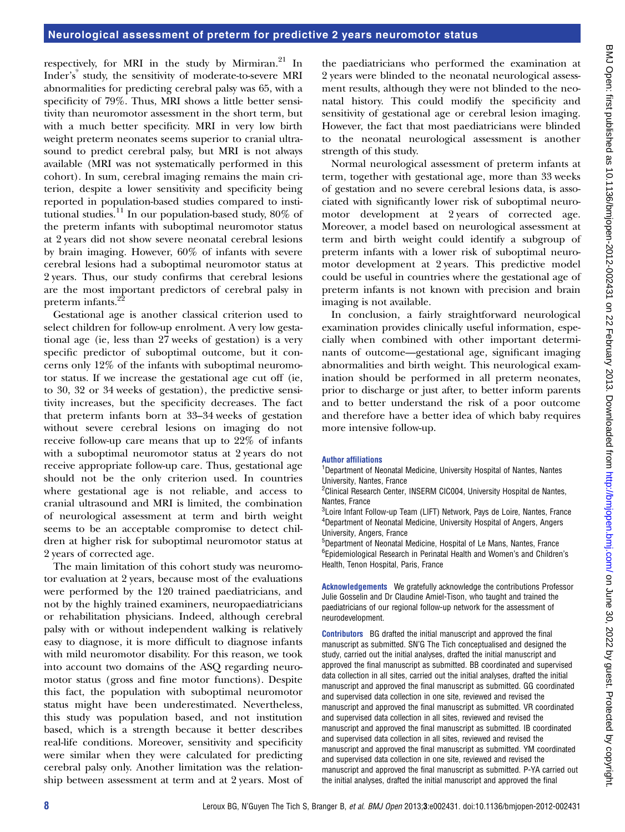respectively, for MRI in the study by Mirmiran.<sup>21</sup> In Inder's<sup>9</sup> study, the sensitivity of moderate-to-severe MRI abnormalities for predicting cerebral palsy was 65, with a specificity of 79%. Thus, MRI shows a little better sensitivity than neuromotor assessment in the short term, but with a much better specificity. MRI in very low birth weight preterm neonates seems superior to cranial ultrasound to predict cerebral palsy, but MRI is not always available (MRI was not systematically performed in this cohort). In sum, cerebral imaging remains the main criterion, despite a lower sensitivity and specificity being reported in population-based studies compared to institutional studies.<sup>11</sup> In our population-based study,  $80\%$  of the preterm infants with suboptimal neuromotor status at 2 years did not show severe neonatal cerebral lesions by brain imaging. However, 60% of infants with severe cerebral lesions had a suboptimal neuromotor status at 2 years. Thus, our study confirms that cerebral lesions are the most important predictors of cerebral palsy in preterm infants.<sup>22</sup>

Gestational age is another classical criterion used to select children for follow-up enrolment. A very low gestational age (ie, less than 27 weeks of gestation) is a very specific predictor of suboptimal outcome, but it concerns only 12% of the infants with suboptimal neuromotor status. If we increase the gestational age cut off (ie, to 30, 32 or 34 weeks of gestation), the predictive sensitivity increases, but the specificity decreases. The fact that preterm infants born at 33–34 weeks of gestation without severe cerebral lesions on imaging do not receive follow-up care means that up to 22% of infants with a suboptimal neuromotor status at 2 years do not receive appropriate follow-up care. Thus, gestational age should not be the only criterion used. In countries where gestational age is not reliable, and access to cranial ultrasound and MRI is limited, the combination of neurological assessment at term and birth weight seems to be an acceptable compromise to detect children at higher risk for suboptimal neuromotor status at 2 years of corrected age.

The main limitation of this cohort study was neuromotor evaluation at 2 years, because most of the evaluations were performed by the 120 trained paediatricians, and not by the highly trained examiners, neuropaediatricians or rehabilitation physicians. Indeed, although cerebral palsy with or without independent walking is relatively easy to diagnose, it is more difficult to diagnose infants with mild neuromotor disability. For this reason, we took into account two domains of the ASQ regarding neuromotor status (gross and fine motor functions). Despite this fact, the population with suboptimal neuromotor status might have been underestimated. Nevertheless, this study was population based, and not institution based, which is a strength because it better describes real-life conditions. Moreover, sensitivity and specificity were similar when they were calculated for predicting cerebral palsy only. Another limitation was the relationship between assessment at term and at 2 years. Most of

the paediatricians who performed the examination at 2 years were blinded to the neonatal neurological assessment results, although they were not blinded to the neonatal history. This could modify the specificity and sensitivity of gestational age or cerebral lesion imaging. However, the fact that most paediatricians were blinded to the neonatal neurological assessment is another strength of this study.

Normal neurological assessment of preterm infants at term, together with gestational age, more than 33 weeks of gestation and no severe cerebral lesions data, is associated with significantly lower risk of suboptimal neuromotor development at 2 years of corrected age. Moreover, a model based on neurological assessment at term and birth weight could identify a subgroup of preterm infants with a lower risk of suboptimal neuromotor development at 2 years. This predictive model could be useful in countries where the gestational age of preterm infants is not known with precision and brain imaging is not available.

In conclusion, a fairly straightforward neurological examination provides clinically useful information, especially when combined with other important determinants of outcome—gestational age, significant imaging abnormalities and birth weight. This neurological examination should be performed in all preterm neonates, prior to discharge or just after, to better inform parents and to better understand the risk of a poor outcome and therefore have a better idea of which baby requires more intensive follow-up.

## Author affiliations

<sup>1</sup>Department of Neonatal Medicine, University Hospital of Nantes, Nantes University, Nantes, France

<sup>2</sup>Clinical Research Center, INSERM CIC004, University Hospital de Nantes, Nantes, France

<sup>3</sup>Loire Infant Follow-up Team (LIFT) Network, Pays de Loire, Nantes, France 4 Department of Neonatal Medicine, University Hospital of Angers, Angers University, Angers, France

5 Department of Neonatal Medicine, Hospital of Le Mans, Nantes, France 6 Epidemiological Research in Perinatal Health and Women's and Children's Health, Tenon Hospital, Paris, France

Acknowledgements We gratefully acknowledge the contributions Professor Julie Gosselin and Dr Claudine Amiel-Tison, who taught and trained the paediatricians of our regional follow-up network for the assessment of neurodevelopment.

**Contributors** BG drafted the initial manuscript and approved the final manuscript as submitted. SN'G The Tich conceptualised and designed the study, carried out the initial analyses, drafted the initial manuscript and approved the final manuscript as submitted. BB coordinated and supervised data collection in all sites, carried out the initial analyses, drafted the initial manuscript and approved the final manuscript as submitted. GG coordinated and supervised data collection in one site, reviewed and revised the manuscript and approved the final manuscript as submitted. VR coordinated and supervised data collection in all sites, reviewed and revised the manuscript and approved the final manuscript as submitted. IB coordinated and supervised data collection in all sites, reviewed and revised the manuscript and approved the final manuscript as submitted. YM coordinated and supervised data collection in one site, reviewed and revised the manuscript and approved the final manuscript as submitted. P-YA carried out the initial analyses, drafted the initial manuscript and approved the final